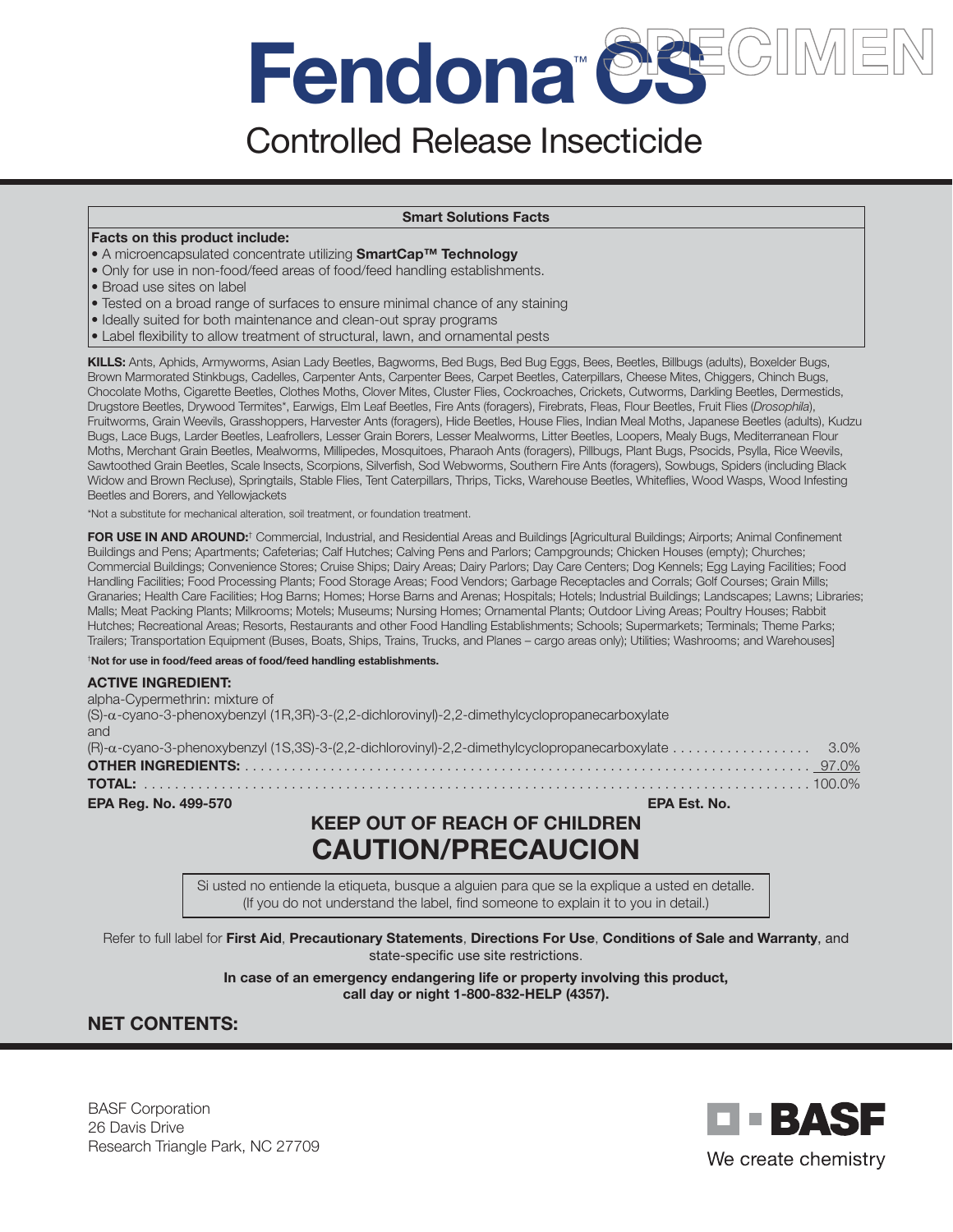# **Fendona**™ **CS**

# Controlled Release Insecticide

### Smart Solutions Facts

### Facts on this product include:

- A microencapsulated concentrate utilizing **SmartCap™ Technology**
- Only for use in non-food/feed areas of food/feed handling establishments.
- Broad use sites on label
- Tested on a broad range of surfaces to ensure minimal chance of any staining
- Ideally suited for both maintenance and clean-out spray programs
- Label flexibility to allow treatment of structural, lawn, and ornamental pests

KILLS: Ants, Aphids, Armyworms, Asian Lady Beetles, Bagworms, Bed Bugs, Bed Bug Eggs, Bees, Beetles, Billbugs (adults), Boxelder Bugs, Brown Marmorated Stinkbugs, Cadelles, Carpenter Ants, Carpenter Bees, Carpet Beetles, Caterpillars, Cheese Mites, Chiggers, Chinch Bugs, Chocolate Moths, Cigarette Beetles, Clothes Moths, Clover Mites, Cluster Flies, Cockroaches, Crickets, Cutworms, Darkling Beetles, Dermestids, Drugstore Beetles, Drywood Termites\*, Earwigs, Elm Leaf Beetles, Fire Ants (foragers), Firebrats, Fleas, Flour Beetles, Fruit Flies (*Drosophila*), Fruitworms, Grain Weevils, Grasshoppers, Harvester Ants (foragers), Hide Beetles, House Flies, Indian Meal Moths, Japanese Beetles (adults), Kudzu Bugs, Lace Bugs, Larder Beetles, Leafrollers, Lesser Grain Borers, Lesser Mealworms, Litter Beetles, Loopers, Mealy Bugs, Mediterranean Flour Moths, Merchant Grain Beetles, Mealworms, Millipedes, Mosquitoes, Pharaoh Ants (foragers), Pillbugs, Plant Bugs, Psocids, Psylla, Rice Weevils, Sawtoothed Grain Beetles, Scale Insects, Scorpions, Silverfish, Sod Webworms, Southern Fire Ants (foragers), Sowbugs, Spiders (including Black Widow and Brown Recluse), Springtails, Stable Flies, Tent Caterpillars, Thrips, Ticks, Warehouse Beetles, Whiteflies, Wood Wasps, Wood Infesting Beetles and Borers, and Yellowjackets

\*Not a substitute for mechanical alteration, soil treatment, or foundation treatment.

FOR USE IN AND AROUND:<sup>†</sup> Commercial, Industrial, and Residential Areas and Buildings [Agricultural Buildings; Airports; Animal Confinement Buildings and Pens; Apartments; Cafeterias; Calf Hutches; Calving Pens and Parlors; Campgrounds; Chicken Houses (empty); Churches; Commercial Buildings; Convenience Stores; Cruise Ships; Dairy Areas; Dairy Parlors; Day Care Centers; Dog Kennels; Egg Laying Facilities; Food Handling Facilities; Food Processing Plants; Food Storage Areas; Food Vendors; Garbage Receptacles and Corrals; Golf Courses; Grain Mills; Granaries; Health Care Facilities; Hog Barns; Homes; Horse Barns and Arenas; Hospitals; Hotels; Industrial Buildings; Landscapes; Lawns; Libraries; Malls; Meat Packing Plants; Milkrooms; Motels; Museums; Nursing Homes; Ornamental Plants; Outdoor Living Areas; Poultry Houses; Rabbit Hutches; Recreational Areas; Resorts, Restaurants and other Food Handling Establishments; Schools; Supermarkets; Terminals; Theme Parks; Trailers; Transportation Equipment (Buses, Boats, Ships, Trains, Trucks, and Planes – cargo areas only); Utilities; Washrooms; and Warehouses]

### † Not for use in food/feed areas of food/feed handling establishments.

### ACTIVE INGREDIENT:

| IZEER AUT AF REI AU AF AUU RREIL                                                              |              |  |
|-----------------------------------------------------------------------------------------------|--------------|--|
| <b>EPA Reg. No. 499-570</b>                                                                   | EPA Est. No. |  |
|                                                                                               |              |  |
|                                                                                               |              |  |
|                                                                                               |              |  |
| and                                                                                           |              |  |
| (S)-a-cyano-3-phenoxybenzyl (1R,3R)-3-(2,2-dichlorovinyl)-2,2-dimethylcyclopropanecarboxylate |              |  |
| alpha-Cypermethrin: mixture of                                                                |              |  |
|                                                                                               |              |  |

# KEEP OUT OF REACH OF CHILDREN CAUTION/PRECAUCION

Si usted no entiende la etiqueta, busque a alguien para que se la explique a usted en detalle. (If you do not understand the label, find someone to explain it to you in detail.)

Refer to full label for First Aid, Precautionary Statements, Directions For Use, Conditions of Sale and Warranty, and state-specific use site restrictions.

> In case of an emergency endangering life or property involving this product, call day or night 1-800-832-HELP (4357).

NET CONTENTS:

BASF Corporation 26 Davis Drive Research Triangle Park, NC 27709

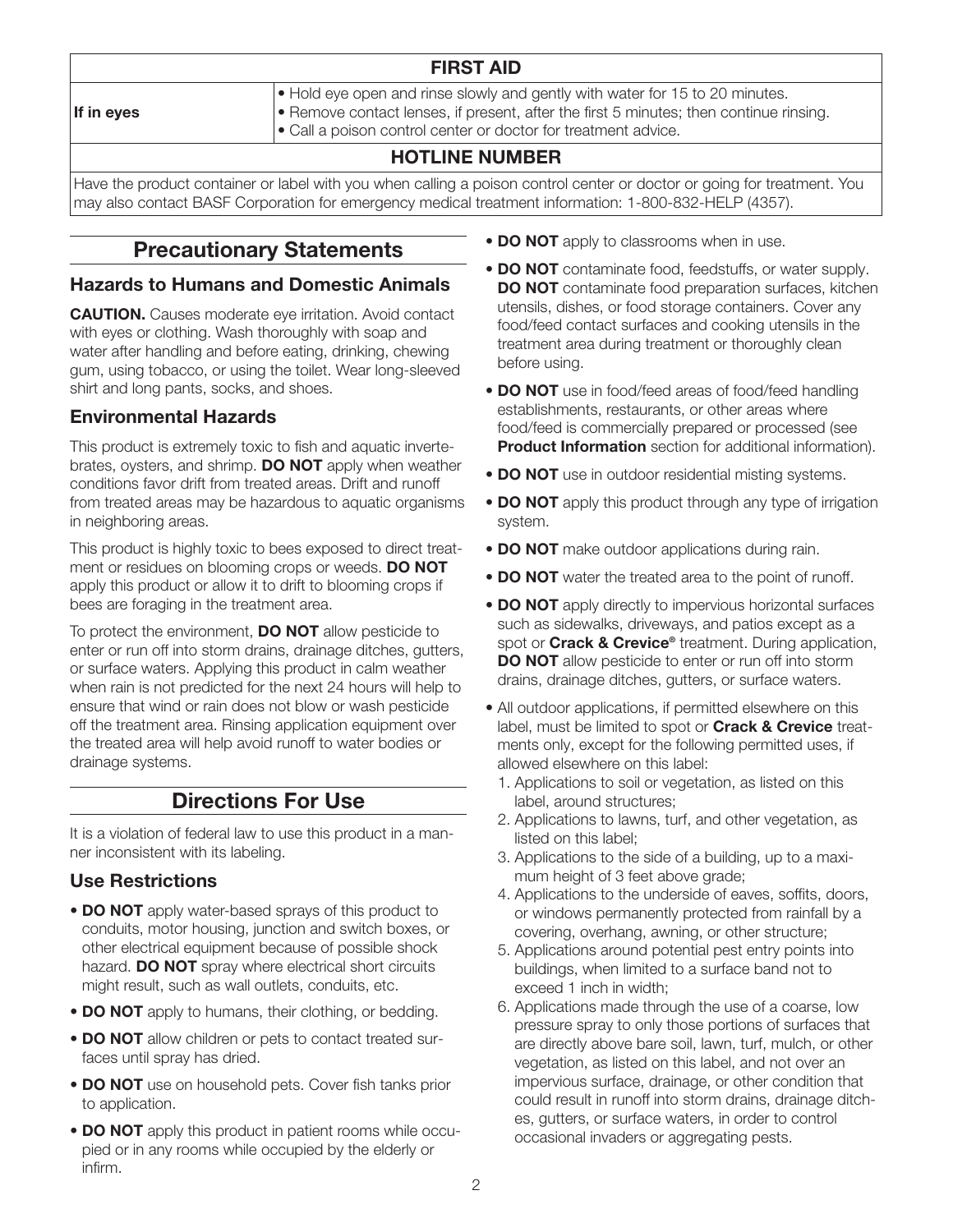| <b>FIRST AID</b> |                                                                                                                                                                                                                                                          |  |
|------------------|----------------------------------------------------------------------------------------------------------------------------------------------------------------------------------------------------------------------------------------------------------|--|
| If in eyes       | $\bullet$ Hold eye open and rinse slowly and gently with water for 15 to 20 minutes.<br>$\bullet$ Remove contact lenses, if present, after the first 5 minutes; then continue rinsing.<br>• Call a poison control center or doctor for treatment advice. |  |
|                  | <b>HOTLINE NUMBER</b>                                                                                                                                                                                                                                    |  |

Have the product container or label with you when calling a poison control center or doctor or going for treatment. You may also contact BASF Corporation for emergency medical treatment information: 1-800-832-HELP (4357).

# Precautionary Statements

# Hazards to Humans and Domestic Animals

**CAUTION.** Causes moderate eye irritation. Avoid contact with eyes or clothing. Wash thoroughly with soap and water after handling and before eating, drinking, chewing gum, using tobacco, or using the toilet. Wear long-sleeved shirt and long pants, socks, and shoes.

# Environmental Hazards

This product is extremely toxic to fish and aquatic invertebrates, oysters, and shrimp. **DO NOT** apply when weather conditions favor drift from treated areas. Drift and runoff from treated areas may be hazardous to aquatic organisms in neighboring areas.

This product is highly toxic to bees exposed to direct treatment or residues on blooming crops or weeds. DO NOT apply this product or allow it to drift to blooming crops if bees are foraging in the treatment area.

To protect the environment, **DO NOT** allow pesticide to enter or run off into storm drains, drainage ditches, gutters, or surface waters. Applying this product in calm weather when rain is not predicted for the next 24 hours will help to ensure that wind or rain does not blow or wash pesticide off the treatment area. Rinsing application equipment over the treated area will help avoid runoff to water bodies or drainage systems.

# Directions For Use

It is a violation of federal law to use this product in a manner inconsistent with its labeling.

# Use Restrictions

- **DO NOT** apply water-based sprays of this product to conduits, motor housing, junction and switch boxes, or other electrical equipment because of possible shock hazard. **DO NOT** spray where electrical short circuits might result, such as wall outlets, conduits, etc.
- DO NOT apply to humans, their clothing, or bedding.
- DO NOT allow children or pets to contact treated surfaces until spray has dried.
- DO NOT use on household pets. Cover fish tanks prior to application.
- DO NOT apply this product in patient rooms while occupied or in any rooms while occupied by the elderly or infirm.
- DO NOT apply to classrooms when in use.
- DO NOT contaminate food, feedstuffs, or water supply. DO NOT contaminate food preparation surfaces, kitchen utensils, dishes, or food storage containers. Cover any food/feed contact surfaces and cooking utensils in the treatment area during treatment or thoroughly clean before using.
- **DO NOT** use in food/feed areas of food/feed handling establishments, restaurants, or other areas where food/feed is commercially prepared or processed (see **Product Information** section for additional information).
- DO NOT use in outdoor residential misting systems.
- DO NOT apply this product through any type of irrigation system.
- DO NOT make outdoor applications during rain.
- **DO NOT** water the treated area to the point of runoff.
- **DO NOT** apply directly to impervious horizontal surfaces such as sidewalks, driveways, and patios except as a spot or Crack & Crevice<sup>®</sup> treatment. During application, DO NOT allow pesticide to enter or run off into storm drains, drainage ditches, gutters, or surface waters.
- All outdoor applications, if permitted elsewhere on this label, must be limited to spot or **Crack & Crevice** treatments only, except for the following permitted uses, if allowed elsewhere on this label:
	- 1. Applications to soil or vegetation, as listed on this label, around structures;
	- 2. Applications to lawns, turf, and other vegetation, as listed on this label;
	- 3. Applications to the side of a building, up to a maximum height of 3 feet above grade;
	- 4. Applications to the underside of eaves, soffits, doors, or windows permanently protected from rainfall by a covering, overhang, awning, or other structure;
	- 5. Applications around potential pest entry points into buildings, when limited to a surface band not to exceed 1 inch in width;
	- 6. Applications made through the use of a coarse, low pressure spray to only those portions of surfaces that are directly above bare soil, lawn, turf, mulch, or other vegetation, as listed on this label, and not over an impervious surface, drainage, or other condition that could result in runoff into storm drains, drainage ditches, gutters, or surface waters, in order to control occasional invaders or aggregating pests.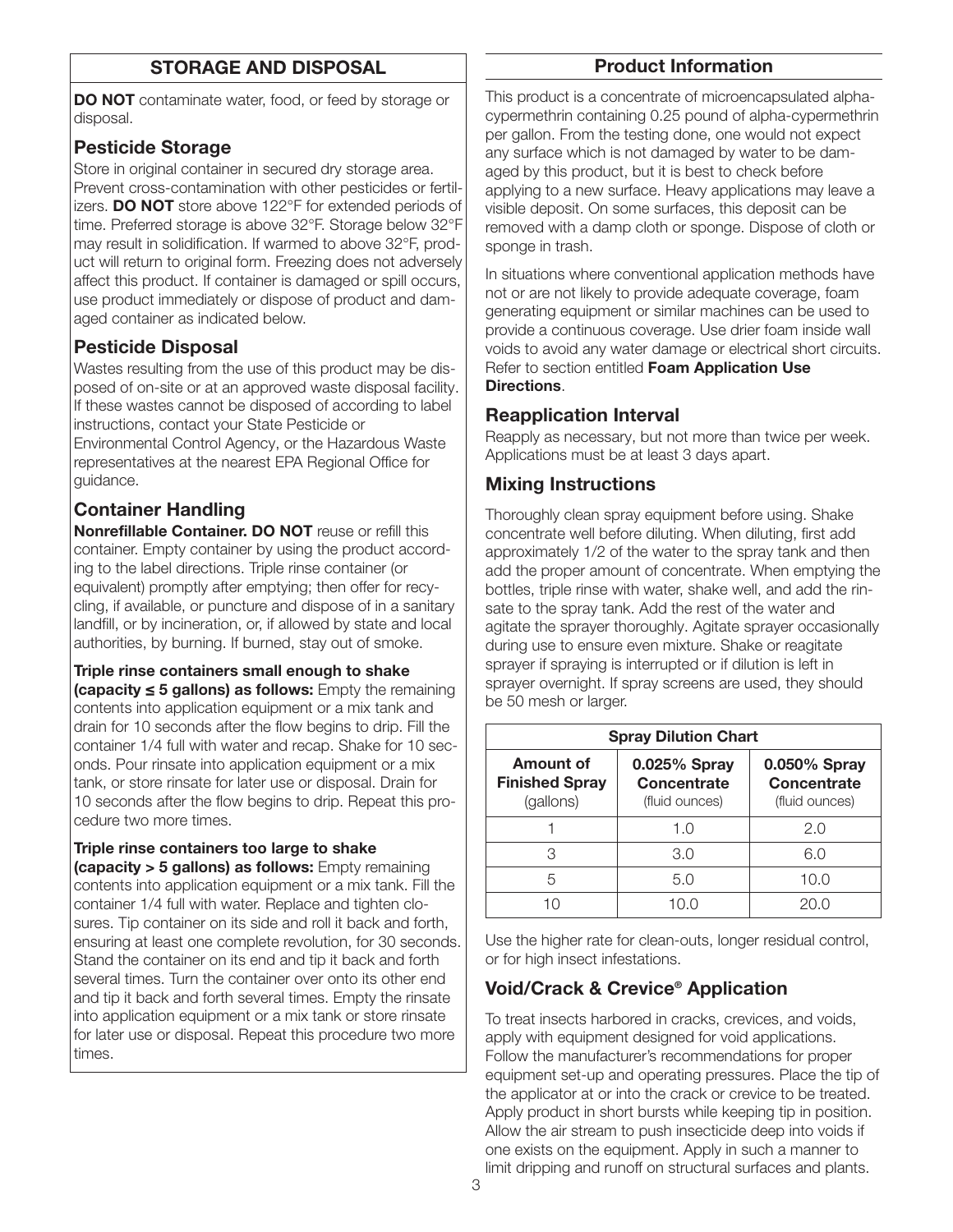# STORAGE AND DISPOSAL

DO NOT contaminate water, food, or feed by storage or disposal.

# Pesticide Storage

Store in original container in secured dry storage area. Prevent cross-contamination with other pesticides or fertilizers. DO NOT store above 122°F for extended periods of time. Preferred storage is above 32°F. Storage below 32°F may result in solidification. If warmed to above 32°F, product will return to original form. Freezing does not adversely affect this product. If container is damaged or spill occurs, use product immediately or dispose of product and damaged container as indicated below.

# Pesticide Disposal

Wastes resulting from the use of this product may be disposed of on-site or at an approved waste disposal facility. If these wastes cannot be disposed of according to label instructions, contact your State Pesticide or Environmental Control Agency, or the Hazardous Waste representatives at the nearest EPA Regional Office for guidance.

# Container Handling

Nonrefillable Container. DO NOT reuse or refill this container. Empty container by using the product according to the label directions. Triple rinse container (or equivalent) promptly after emptying; then offer for recycling, if available, or puncture and dispose of in a sanitary landfill, or by incineration, or, if allowed by state and local authorities, by burning. If burned, stay out of smoke.

### Triple rinse containers small enough to shake (capacity ≤ 5 gallons) as follows: Empty the remaining contents into application equipment or a mix tank and drain for 10 seconds after the flow begins to drip. Fill the container 1/4 full with water and recap. Shake for 10 seconds. Pour rinsate into application equipment or a mix tank, or store rinsate for later use or disposal. Drain for 10 seconds after the flow begins to drip. Repeat this procedure two more times.

Triple rinse containers too large to shake (capacity > 5 gallons) as follows: Empty remaining contents into application equipment or a mix tank. Fill the container 1/4 full with water. Replace and tighten closures. Tip container on its side and roll it back and forth, ensuring at least one complete revolution, for 30 seconds. Stand the container on its end and tip it back and forth several times. Turn the container over onto its other end and tip it back and forth several times. Empty the rinsate into application equipment or a mix tank or store rinsate for later use or disposal. Repeat this procedure two more times.

# Product Information

This product is a concentrate of microencapsulated alphacypermethrin containing 0.25 pound of alpha-cypermethrin per gallon. From the testing done, one would not expect any surface which is not damaged by water to be damaged by this product, but it is best to check before applying to a new surface. Heavy applications may leave a visible deposit. On some surfaces, this deposit can be removed with a damp cloth or sponge. Dispose of cloth or sponge in trash.

In situations where conventional application methods have not or are not likely to provide adequate coverage, foam generating equipment or similar machines can be used to provide a continuous coverage. Use drier foam inside wall voids to avoid any water damage or electrical short circuits. Refer to section entitled Foam Application Use Directions.

# Reapplication Interval

Reapply as necessary, but not more than twice per week. Applications must be at least 3 days apart.

# Mixing Instructions

Thoroughly clean spray equipment before using. Shake concentrate well before diluting. When diluting, first add approximately 1/2 of the water to the spray tank and then add the proper amount of concentrate. When emptying the bottles, triple rinse with water, shake well, and add the rinsate to the spray tank. Add the rest of the water and agitate the sprayer thoroughly. Agitate sprayer occasionally during use to ensure even mixture. Shake or reagitate sprayer if spraying is interrupted or if dilution is left in sprayer overnight. If spray screens are used, they should be 50 mesh or larger.

| <b>Spray Dilution Chart</b>                     |                                                      |                                               |  |
|-------------------------------------------------|------------------------------------------------------|-----------------------------------------------|--|
| Amount of<br><b>Finished Spray</b><br>(gallons) | 0.025% Spray<br><b>Concentrate</b><br>(fluid ounces) | 0.050% Spray<br>Concentrate<br>(fluid ounces) |  |
|                                                 | 1.0                                                  | 2.0                                           |  |
| З                                               | 3.0                                                  | 6.0                                           |  |
| 5                                               | 5.0                                                  | 10.0                                          |  |
|                                                 | 1 N N                                                | 20 O                                          |  |

Use the higher rate for clean-outs, longer residual control, or for high insect infestations.

# Void/Crack & Crevice® Application

To treat insects harbored in cracks, crevices, and voids, apply with equipment designed for void applications. Follow the manufacturer's recommendations for proper equipment set-up and operating pressures. Place the tip of the applicator at or into the crack or crevice to be treated. Apply product in short bursts while keeping tip in position. Allow the air stream to push insecticide deep into voids if one exists on the equipment. Apply in such a manner to limit dripping and runoff on structural surfaces and plants.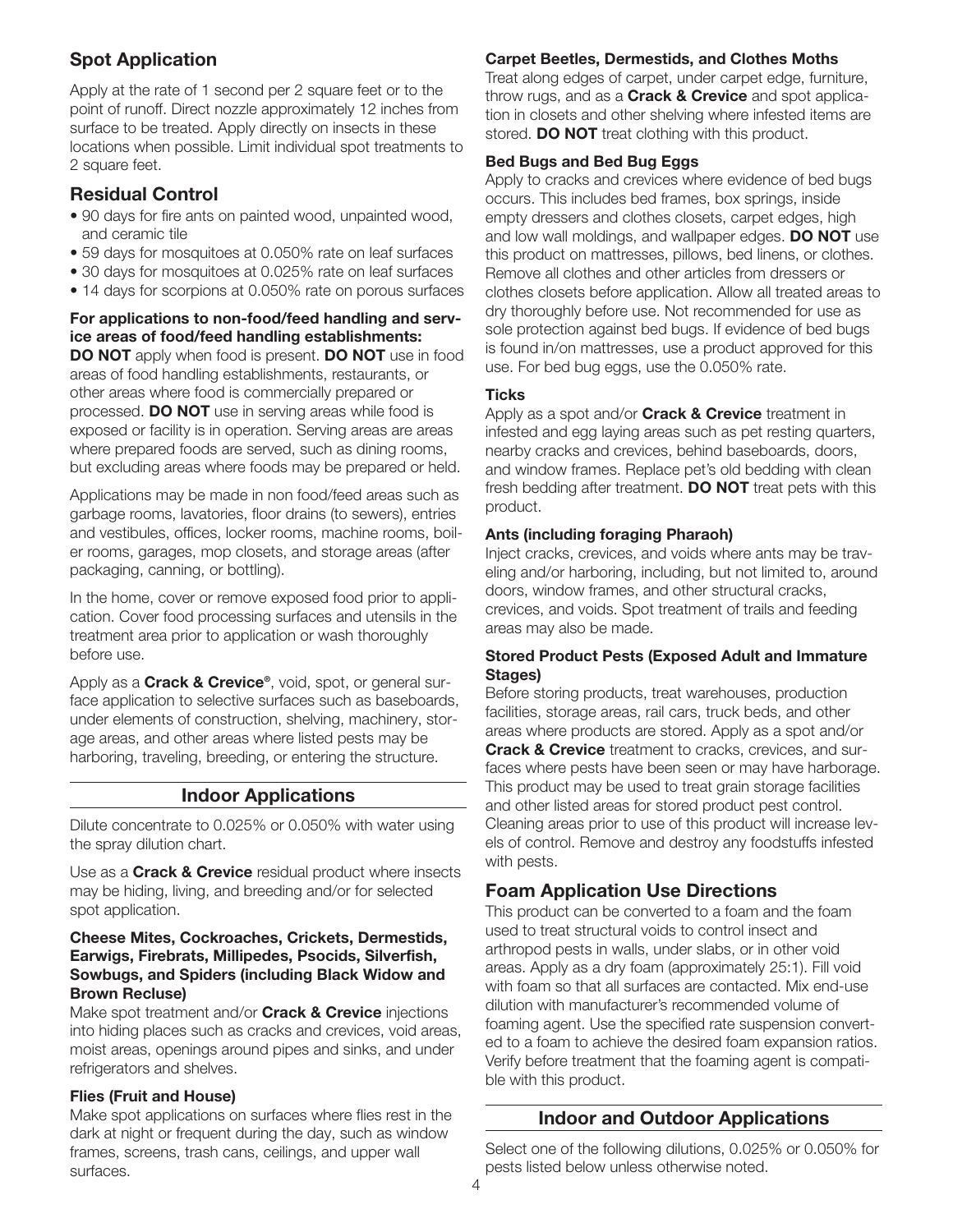# Spot Application

Apply at the rate of 1 second per 2 square feet or to the point of runoff. Direct nozzle approximately 12 inches from surface to be treated. Apply directly on insects in these locations when possible. Limit individual spot treatments to 2 square feet.

# Residual Control

- 90 days for fire ants on painted wood, unpainted wood, and ceramic tile
- 59 days for mosquitoes at 0.050% rate on leaf surfaces
- 30 days for mosquitoes at 0.025% rate on leaf surfaces
- 14 days for scorpions at 0.050% rate on porous surfaces

# For applications to non-food/feed handling and service areas of food/feed handling establishments:

DO NOT apply when food is present. DO NOT use in food areas of food handling establishments, restaurants, or other areas where food is commercially prepared or processed. DO NOT use in serving areas while food is exposed or facility is in operation. Serving areas are areas where prepared foods are served, such as dining rooms, but excluding areas where foods may be prepared or held.

Applications may be made in non food/feed areas such as garbage rooms, lavatories, floor drains (to sewers), entries and vestibules, offices, locker rooms, machine rooms, boiler rooms, garages, mop closets, and storage areas (after packaging, canning, or bottling).

In the home, cover or remove exposed food prior to application. Cover food processing surfaces and utensils in the treatment area prior to application or wash thoroughly before use.

Apply as a **Crack & Crevice**®, void, spot, or general surface application to selective surfaces such as baseboards, under elements of construction, shelving, machinery, storage areas, and other areas where listed pests may be harboring, traveling, breeding, or entering the structure.

# Indoor Applications

Dilute concentrate to 0.025% or 0.050% with water using the spray dilution chart.

Use as a **Crack & Crevice** residual product where insects may be hiding, living, and breeding and/or for selected spot application.

### Cheese Mites, Cockroaches, Crickets, Dermestids, Earwigs, Firebrats, Millipedes, Psocids, Silverfish, Sowbugs, and Spiders (including Black Widow and Brown Recluse)

Make spot treatment and/or **Crack & Crevice** injections into hiding places such as cracks and crevices, void areas, moist areas, openings around pipes and sinks, and under refrigerators and shelves.

# Flies (Fruit and House)

Make spot applications on surfaces where flies rest in the dark at night or frequent during the day, such as window frames, screens, trash cans, ceilings, and upper wall surfaces.

# Carpet Beetles, Dermestids, and Clothes Moths

Treat along edges of carpet, under carpet edge, furniture, throw rugs, and as a **Crack & Crevice** and spot application in closets and other shelving where infested items are stored. **DO NOT** treat clothing with this product.

# Bed Bugs and Bed Bug Eggs

Apply to cracks and crevices where evidence of bed bugs occurs. This includes bed frames, box springs, inside empty dressers and clothes closets, carpet edges, high and low wall moldings, and wallpaper edges. **DO NOT** use this product on mattresses, pillows, bed linens, or clothes. Remove all clothes and other articles from dressers or clothes closets before application. Allow all treated areas to dry thoroughly before use. Not recommended for use as sole protection against bed bugs. If evidence of bed bugs is found in/on mattresses, use a product approved for this use. For bed bug eggs, use the 0.050% rate.

# **Ticks**

Apply as a spot and/or **Crack & Crevice** treatment in infested and egg laying areas such as pet resting quarters, nearby cracks and crevices, behind baseboards, doors, and window frames. Replace pet's old bedding with clean fresh bedding after treatment. **DO NOT** treat pets with this product.

# Ants (including foraging Pharaoh)

Inject cracks, crevices, and voids where ants may be traveling and/or harboring, including, but not limited to, around doors, window frames, and other structural cracks, crevices, and voids. Spot treatment of trails and feeding areas may also be made.

# Stored Product Pests (Exposed Adult and Immature Stages)

Before storing products, treat warehouses, production facilities, storage areas, rail cars, truck beds, and other areas where products are stored. Apply as a spot and/or **Crack & Crevice** treatment to cracks, crevices, and surfaces where pests have been seen or may have harborage. This product may be used to treat grain storage facilities and other listed areas for stored product pest control. Cleaning areas prior to use of this product will increase levels of control. Remove and destroy any foodstuffs infested with pests.

# Foam Application Use Directions

This product can be converted to a foam and the foam used to treat structural voids to control insect and arthropod pests in walls, under slabs, or in other void areas. Apply as a dry foam (approximately 25:1). Fill void with foam so that all surfaces are contacted. Mix end-use dilution with manufacturer's recommended volume of foaming agent. Use the specified rate suspension converted to a foam to achieve the desired foam expansion ratios. Verify before treatment that the foaming agent is compatible with this product.

# Indoor and Outdoor Applications

Select one of the following dilutions, 0.025% or 0.050% for pests listed below unless otherwise noted.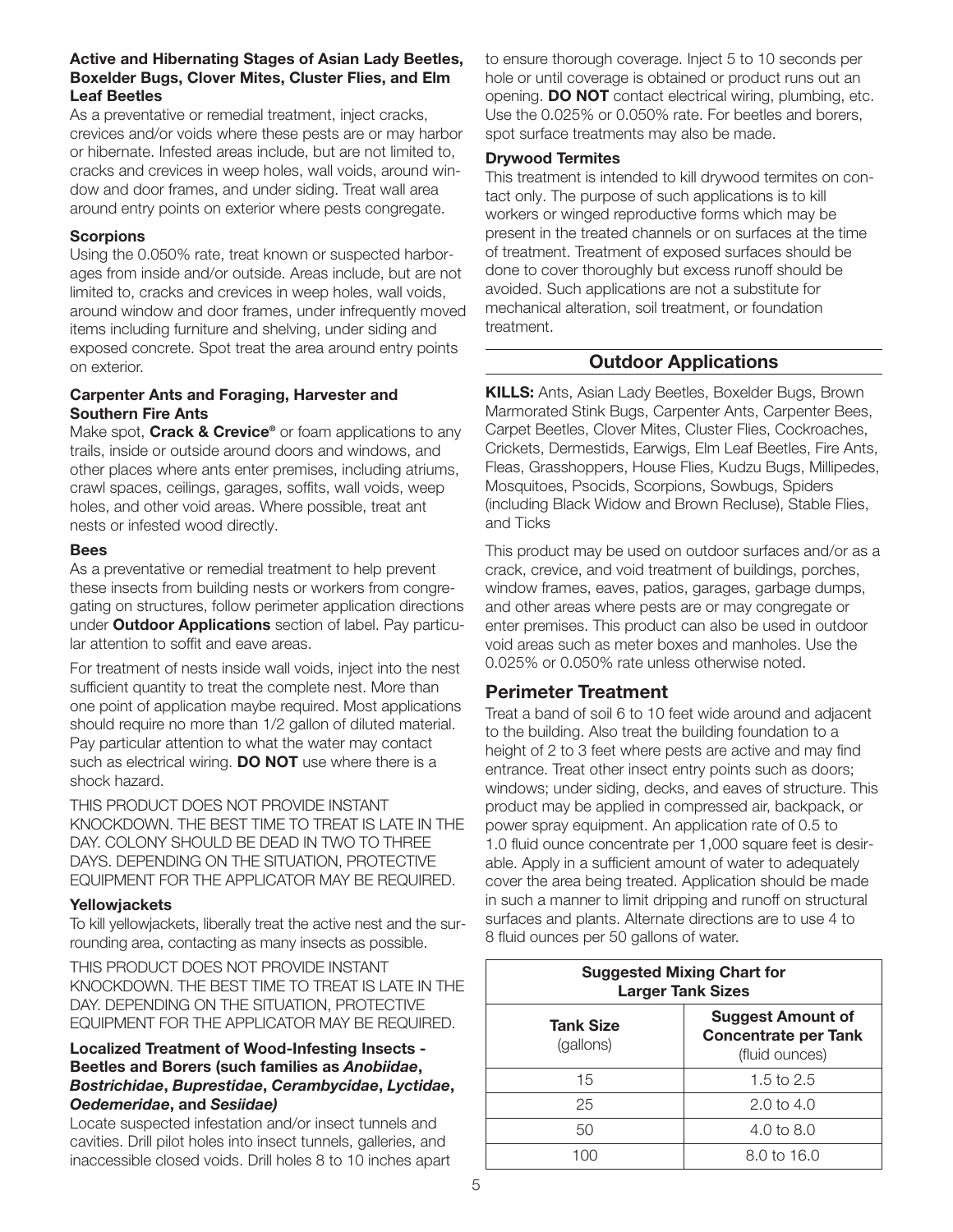### Active and Hibernating Stages of Asian Lady Beetles, Boxelder Bugs, Clover Mites, Cluster Flies, and Elm Leaf Beetles

As a preventative or remedial treatment, inject cracks, crevices and/or voids where these pests are or may harbor or hibernate. Infested areas include, but are not limited to, cracks and crevices in weep holes, wall voids, around window and door frames, and under siding. Treat wall area around entry points on exterior where pests congregate.

### **Scorpions**

Using the 0.050% rate, treat known or suspected harborages from inside and/or outside. Areas include, but are not limited to, cracks and crevices in weep holes, wall voids, around window and door frames, under infrequently moved items including furniture and shelving, under siding and exposed concrete. Spot treat the area around entry points on exterior.

### Carpenter Ants and Foraging, Harvester and Southern Fire Ants

Make spot, Crack & Crevice<sup>®</sup> or foam applications to any trails, inside or outside around doors and windows, and other places where ants enter premises, including atriums, crawl spaces, ceilings, garages, soffits, wall voids, weep holes, and other void areas. Where possible, treat ant nests or infested wood directly.

### Bees

As a preventative or remedial treatment to help prevent these insects from building nests or workers from congregating on structures, follow perimeter application directions under Outdoor Applications section of label. Pay particular attention to soffit and eave areas.

For treatment of nests inside wall voids, inject into the nest sufficient quantity to treat the complete nest. More than one point of application maybe required. Most applications should require no more than 1/2 gallon of diluted material. Pay particular attention to what the water may contact such as electrical wiring. DO NOT use where there is a shock hazard.

THIS PRODUCT DOES NOT PROVIDE INSTANT KNOCKDOWN. THE BEST TIME TO TREAT IS LATE IN THE DAY. COLONY SHOULD BE DEAD IN TWO TO THREE DAYS. DEPENDING ON THE SITUATION, PROTECTIVE EQUIPMENT FOR THE APPLICATOR MAY BE REQUIRED.

# Yellowjackets

To kill yellowjackets, liberally treat the active nest and the surrounding area, contacting as many insects as possible.

THIS PRODUCT DOES NOT PROVIDE INSTANT KNOCKDOWN. THE BEST TIME TO TREAT IS LATE IN THE DAY. DEPENDING ON THE SITUATION, PROTECTIVE EQUIPMENT FOR THE APPLICATOR MAY BE REQUIRED.

### Localized Treatment of Wood-Infesting Insects - Beetles and Borers (such families as *Anobiidae*, *Bostrichidae*, *Buprestidae*, *Cerambycidae*, *Lyctidae*, *Oedemeridae*, and *Sesiidae)*

Locate suspected infestation and/or insect tunnels and cavities. Drill pilot holes into insect tunnels, galleries, and inaccessible closed voids. Drill holes 8 to 10 inches apart to ensure thorough coverage. Inject 5 to 10 seconds per hole or until coverage is obtained or product runs out an opening. DO NOT contact electrical wiring, plumbing, etc. Use the 0.025% or 0.050% rate. For beetles and borers, spot surface treatments may also be made.

### Drywood Termites

This treatment is intended to kill drywood termites on contact only. The purpose of such applications is to kill workers or winged reproductive forms which may be present in the treated channels or on surfaces at the time of treatment. Treatment of exposed surfaces should be done to cover thoroughly but excess runoff should be avoided. Such applications are not a substitute for mechanical alteration, soil treatment, or foundation treatment.

# Outdoor Applications

KILLS: Ants, Asian Lady Beetles, Boxelder Bugs, Brown Marmorated Stink Bugs, Carpenter Ants, Carpenter Bees, Carpet Beetles, Clover Mites, Cluster Flies, Cockroaches, Crickets, Dermestids, Earwigs, Elm Leaf Beetles, Fire Ants, Fleas, Grasshoppers, House Flies, Kudzu Bugs, Millipedes, Mosquitoes, Psocids, Scorpions, Sowbugs, Spiders (including Black Widow and Brown Recluse), Stable Flies, and Ticks

This product may be used on outdoor surfaces and/or as a crack, crevice, and void treatment of buildings, porches, window frames, eaves, patios, garages, garbage dumps, and other areas where pests are or may congregate or enter premises. This product can also be used in outdoor void areas such as meter boxes and manholes. Use the 0.025% or 0.050% rate unless otherwise noted.

# Perimeter Treatment

Treat a band of soil 6 to 10 feet wide around and adjacent to the building. Also treat the building foundation to a height of 2 to 3 feet where pests are active and may find entrance. Treat other insect entry points such as doors; windows; under siding, decks, and eaves of structure. This product may be applied in compressed air, backpack, or power spray equipment. An application rate of 0.5 to 1.0 fluid ounce concentrate per 1,000 square feet is desirable. Apply in a sufficient amount of water to adequately cover the area being treated. Application should be made in such a manner to limit dripping and runoff on structural surfaces and plants. Alternate directions are to use 4 to 8 fluid ounces per 50 gallons of water.

| <b>Suggested Mixing Chart for</b><br><b>Larger Tank Sizes</b> |                                                                           |  |
|---------------------------------------------------------------|---------------------------------------------------------------------------|--|
| <b>Tank Size</b><br>(gallons)                                 | <b>Suggest Amount of</b><br><b>Concentrate per Tank</b><br>(fluid ounces) |  |
| 15                                                            | 1.5 to $2.5$                                                              |  |
| 25                                                            | $2.0 \text{ to } 4.0$                                                     |  |
| 50                                                            | 4.0 to 8.0                                                                |  |
|                                                               | 8.0 to 16.0                                                               |  |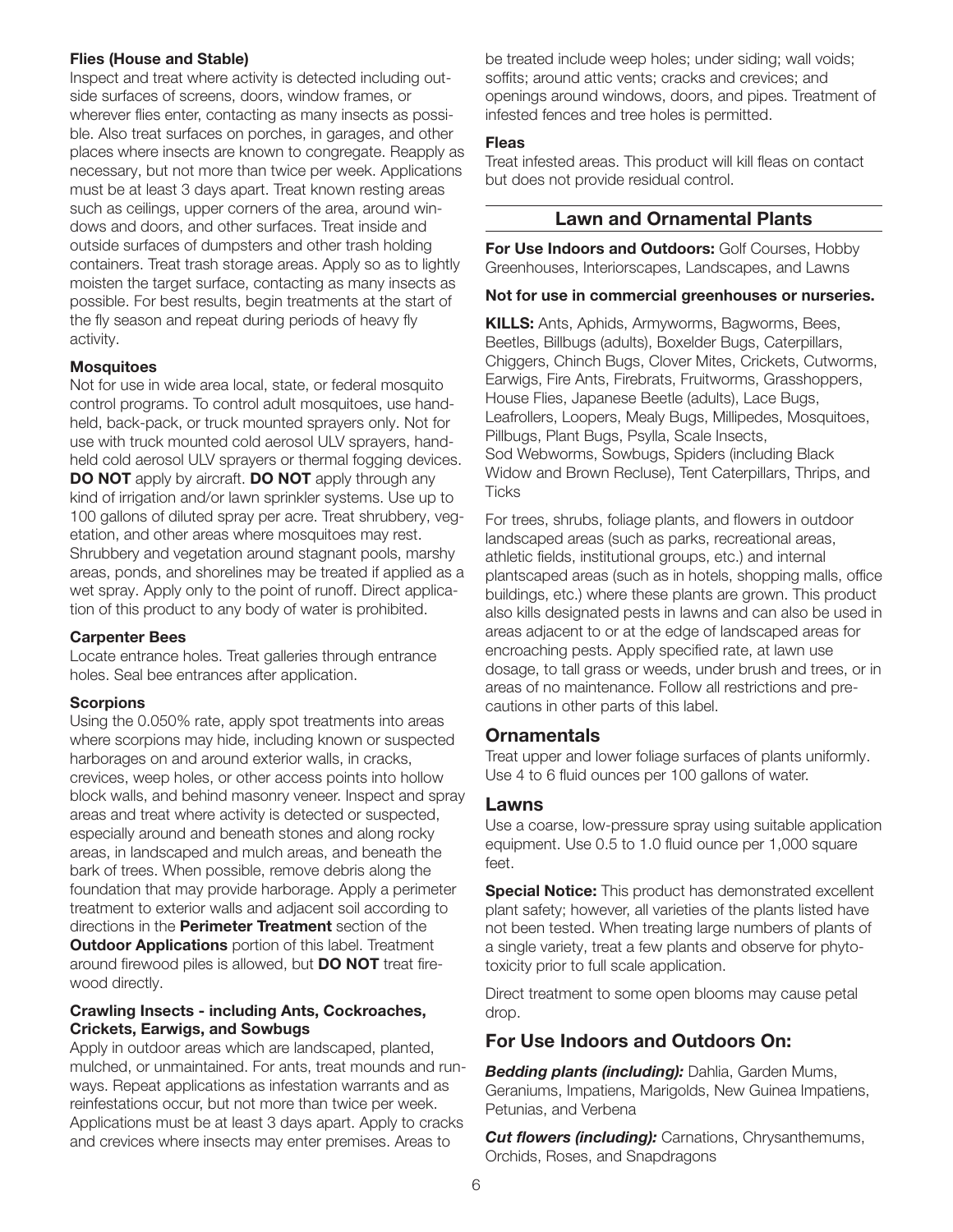### Flies (House and Stable)

Inspect and treat where activity is detected including outside surfaces of screens, doors, window frames, or wherever flies enter, contacting as many insects as possible. Also treat surfaces on porches, in garages, and other places where insects are known to congregate. Reapply as necessary, but not more than twice per week. Applications must be at least 3 days apart. Treat known resting areas such as ceilings, upper corners of the area, around windows and doors, and other surfaces. Treat inside and outside surfaces of dumpsters and other trash holding containers. Treat trash storage areas. Apply so as to lightly moisten the target surface, contacting as many insects as possible. For best results, begin treatments at the start of the fly season and repeat during periods of heavy fly activity.

### **Mosquitoes**

Not for use in wide area local, state, or federal mosquito control programs. To control adult mosquitoes, use handheld, back-pack, or truck mounted sprayers only. Not for use with truck mounted cold aerosol ULV sprayers, handheld cold aerosol ULV sprayers or thermal fogging devices. DO NOT apply by aircraft. DO NOT apply through any kind of irrigation and/or lawn sprinkler systems. Use up to 100 gallons of diluted spray per acre. Treat shrubbery, vegetation, and other areas where mosquitoes may rest. Shrubbery and vegetation around stagnant pools, marshy areas, ponds, and shorelines may be treated if applied as a wet spray. Apply only to the point of runoff. Direct application of this product to any body of water is prohibited.

### Carpenter Bees

Locate entrance holes. Treat galleries through entrance holes. Seal bee entrances after application.

### **Scorpions**

Using the 0.050% rate, apply spot treatments into areas where scorpions may hide, including known or suspected harborages on and around exterior walls, in cracks, crevices, weep holes, or other access points into hollow block walls, and behind masonry veneer. Inspect and spray areas and treat where activity is detected or suspected, especially around and beneath stones and along rocky areas, in landscaped and mulch areas, and beneath the bark of trees. When possible, remove debris along the foundation that may provide harborage. Apply a perimeter treatment to exterior walls and adjacent soil according to directions in the **Perimeter Treatment** section of the **Outdoor Applications** portion of this label. Treatment around firewood piles is allowed, but DO NOT treat firewood directly.

### Crawling Insects - including Ants, Cockroaches, Crickets, Earwigs, and Sowbugs

Apply in outdoor areas which are landscaped, planted, mulched, or unmaintained. For ants, treat mounds and runways. Repeat applications as infestation warrants and as reinfestations occur, but not more than twice per week. Applications must be at least 3 days apart. Apply to cracks and crevices where insects may enter premises. Areas to

be treated include weep holes; under siding; wall voids; soffits; around attic vents; cracks and crevices; and openings around windows, doors, and pipes. Treatment of infested fences and tree holes is permitted.

### Fleas

Treat infested areas. This product will kill fleas on contact but does not provide residual control.

# Lawn and Ornamental Plants

For Use Indoors and Outdoors: Golf Courses, Hobby Greenhouses, Interiorscapes, Landscapes, and Lawns

### Not for use in commercial greenhouses or nurseries.

KILLS: Ants, Aphids, Armyworms, Bagworms, Bees, Beetles, Billbugs (adults), Boxelder Bugs, Caterpillars, Chiggers, Chinch Bugs, Clover Mites, Crickets, Cutworms, Earwigs, Fire Ants, Firebrats, Fruitworms, Grasshoppers, House Flies, Japanese Beetle (adults), Lace Bugs, Leafrollers, Loopers, Mealy Bugs, Millipedes, Mosquitoes, Pillbugs, Plant Bugs, Psylla, Scale Insects, Sod Webworms, Sowbugs, Spiders (including Black Widow and Brown Recluse), Tent Caterpillars, Thrips, and **Ticks** 

For trees, shrubs, foliage plants, and flowers in outdoor landscaped areas (such as parks, recreational areas, athletic fields, institutional groups, etc.) and internal plantscaped areas (such as in hotels, shopping malls, office buildings, etc.) where these plants are grown. This product also kills designated pests in lawns and can also be used in areas adjacent to or at the edge of landscaped areas for encroaching pests. Apply specified rate, at lawn use dosage, to tall grass or weeds, under brush and trees, or in areas of no maintenance. Follow all restrictions and precautions in other parts of this label.

# **Ornamentals**

Treat upper and lower foliage surfaces of plants uniformly. Use 4 to 6 fluid ounces per 100 gallons of water.

# Lawns

Use a coarse, low-pressure spray using suitable application equipment. Use 0.5 to 1.0 fluid ounce per 1,000 square feet.

**Special Notice:** This product has demonstrated excellent plant safety; however, all varieties of the plants listed have not been tested. When treating large numbers of plants of a single variety, treat a few plants and observe for phytotoxicity prior to full scale application.

Direct treatment to some open blooms may cause petal drop.

# For Use Indoors and Outdoors On:

*Bedding plants (including):* Dahlia, Garden Mums, Geraniums, Impatiens, Marigolds, New Guinea Impatiens, Petunias, and Verbena

**Cut flowers (including):** Carnations, Chrysanthemums, Orchids, Roses, and Snapdragons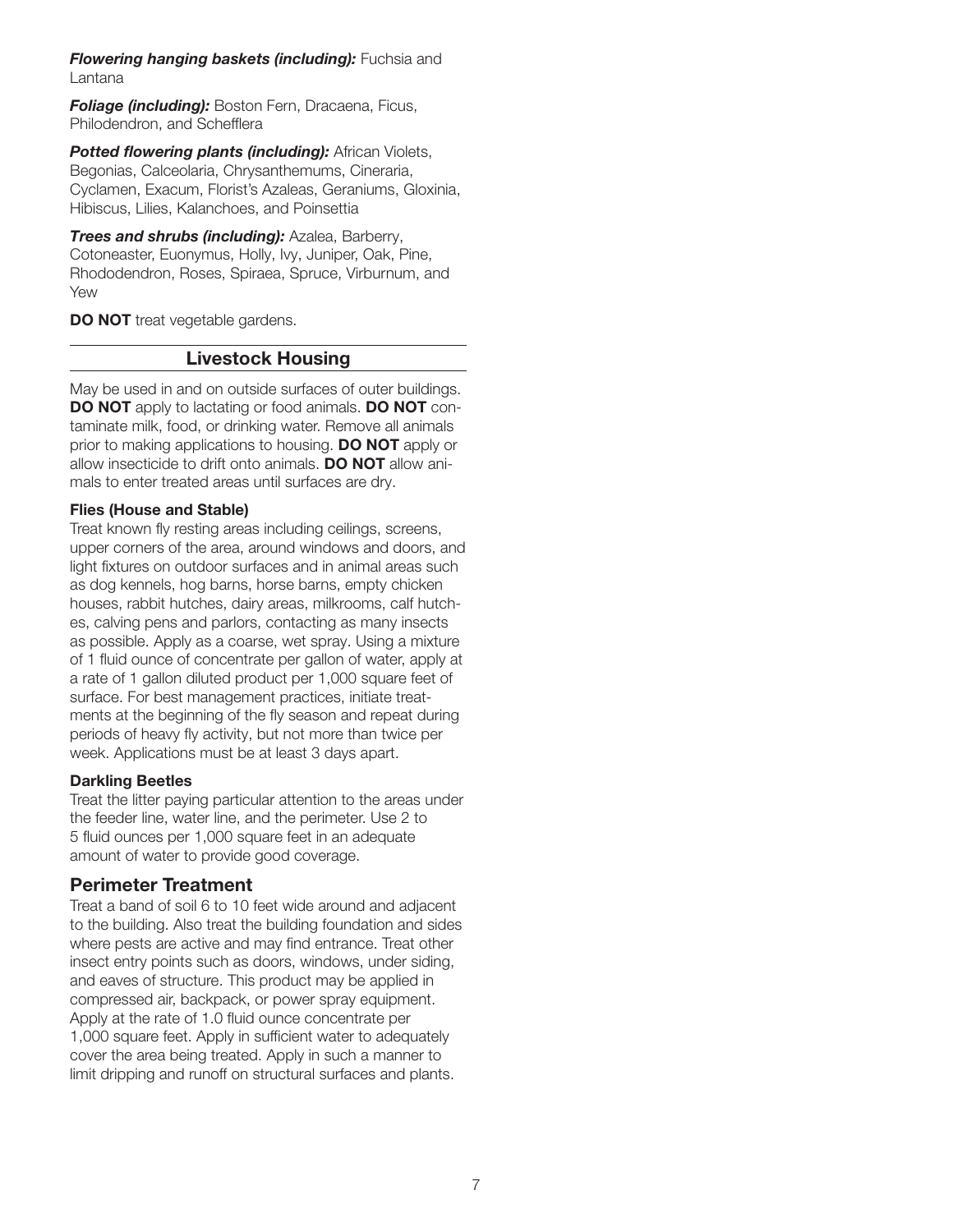*Flowering hanging baskets (including):* Fuchsia and Lantana

*Foliage (including):* Boston Fern, Dracaena, Ficus, Philodendron, and Schefflera

**Potted flowering plants (including):** African Violets, Begonias, Calceolaria, Chrysanthemums, Cineraria, Cyclamen, Exacum, Florist's Azaleas, Geraniums, Gloxinia, Hibiscus, Lilies, Kalanchoes, and Poinsettia

*Trees and shrubs (including):* Azalea, Barberry, Cotoneaster, Euonymus, Holly, Ivy, Juniper, Oak, Pine, Rhododendron, Roses, Spiraea, Spruce, Virburnum, and Yew

DO NOT treat vegetable gardens.

# Livestock Housing

May be used in and on outside surfaces of outer buildings. DO NOT apply to lactating or food animals. DO NOT contaminate milk, food, or drinking water. Remove all animals prior to making applications to housing. DO NOT apply or allow insecticide to drift onto animals. DO NOT allow animals to enter treated areas until surfaces are dry.

### Flies (House and Stable)

Treat known fly resting areas including ceilings, screens, upper corners of the area, around windows and doors, and light fixtures on outdoor surfaces and in animal areas such as dog kennels, hog barns, horse barns, empty chicken houses, rabbit hutches, dairy areas, milkrooms, calf hutches, calving pens and parlors, contacting as many insects as possible. Apply as a coarse, wet spray. Using a mixture of 1 fluid ounce of concentrate per gallon of water, apply at a rate of 1 gallon diluted product per 1,000 square feet of surface. For best management practices, initiate treatments at the beginning of the fly season and repeat during periods of heavy fly activity, but not more than twice per week. Applications must be at least 3 days apart.

# Darkling Beetles

Treat the litter paying particular attention to the areas under the feeder line, water line, and the perimeter. Use 2 to 5 fluid ounces per 1,000 square feet in an adequate amount of water to provide good coverage.

# Perimeter Treatment

Treat a band of soil 6 to 10 feet wide around and adjacent to the building. Also treat the building foundation and sides where pests are active and may find entrance. Treat other insect entry points such as doors, windows, under siding, and eaves of structure. This product may be applied in compressed air, backpack, or power spray equipment. Apply at the rate of 1.0 fluid ounce concentrate per 1,000 square feet. Apply in sufficient water to adequately cover the area being treated. Apply in such a manner to limit dripping and runoff on structural surfaces and plants.